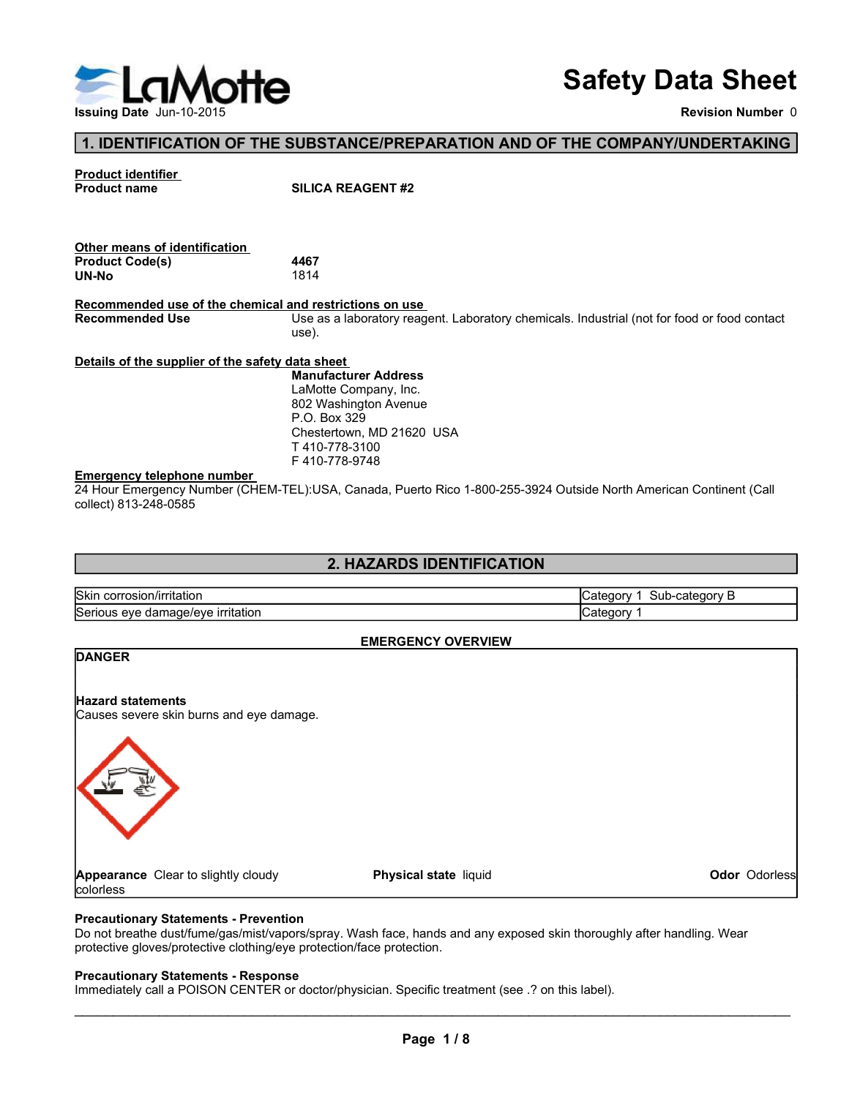

# Safety Data Sheet

Revision Number 0

#### 1. IDENTIFICATION OF THE SUBSTANCE/PREPARATION AND OF THE COMPANY/UNDERTAKING

# **Product identifier**<br>Product name

| Other means of identification |      |  |
|-------------------------------|------|--|
| <b>Product Code(s)</b>        | 4467 |  |
| UN-No                         | 1814 |  |

Safety Data SI<br>
Issuing Date Jun-10-2015<br>
The United Code Code Code Code Code<br>
Product identifier<br>
Product Code(s)<br>
Product Code(s)<br>
Product Code(s)<br>
Product Code(s)<br>
Product Code(s)<br>
Agroommended use of the chemical and r Recommended use of the chemical and restrictions on use<br>Recommended Use<br>Use as a laboratory reag Use as a laboratory reagent. Laboratory chemicals. Industrial (not for food or food contact use).

#### Details of the supplier of the safety data sheet

#### Emergency telephone number

#### 2. HAZARDS IDENTIFICATION

| Other means of identification                           |                                                                                                                    |                |  |
|---------------------------------------------------------|--------------------------------------------------------------------------------------------------------------------|----------------|--|
| <b>Product Code(s)</b>                                  | 4467                                                                                                               |                |  |
| <b>UN-No</b>                                            | 1814                                                                                                               |                |  |
| Recommended use of the chemical and restrictions on use |                                                                                                                    |                |  |
| <b>Recommended Use</b>                                  | Use as a laboratory reagent. Laboratory chemicals. Industrial (not for food or food contact<br>use).               |                |  |
| Details of the supplier of the safety data sheet        |                                                                                                                    |                |  |
|                                                         | <b>Manufacturer Address</b>                                                                                        |                |  |
|                                                         | LaMotte Company, Inc.                                                                                              |                |  |
|                                                         | 802 Washington Avenue                                                                                              |                |  |
|                                                         | P.O. Box 329<br>Chestertown, MD 21620 USA                                                                          |                |  |
|                                                         | T410-778-3100                                                                                                      |                |  |
|                                                         | F410-778-9748                                                                                                      |                |  |
| <b>Emergency telephone number</b>                       |                                                                                                                    |                |  |
| collect) 813-248-0585                                   | 24 Hour Emergency Number (CHEM-TEL):USA, Canada, Puerto Rico 1-800-255-3924 Outside North American Continent (Call |                |  |
|                                                         |                                                                                                                    |                |  |
|                                                         |                                                                                                                    |                |  |
|                                                         | 2. HAZARDS IDENTIFICATION                                                                                          |                |  |
| Skin corrosion/irritation                               |                                                                                                                    | Sub-category B |  |
|                                                         |                                                                                                                    | Category 1     |  |
| Serious eye damage/eye irritation                       |                                                                                                                    | Category 1     |  |
|                                                         | <b>EMERGENCY OVERVIEW</b>                                                                                          |                |  |
| <b>DANGER</b>                                           |                                                                                                                    |                |  |
|                                                         |                                                                                                                    |                |  |
|                                                         |                                                                                                                    |                |  |
| Hazard statements                                       |                                                                                                                    |                |  |

#### EMERGENCY OVERVIEW

# DANGER

#### Hazard statements

Causes severe skin burns and eye damage.



Physical state liquid

#### Precautionary Statements - Prevention

Do not breathe dust/fume/gas/mist/vapors/spray. Wash face, hands and any exposed skin thoroughly after handling. Wear protective gloves/protective clothing/eye protection/face protection.

#### Precautionary Statements - Response

Immediately call a POISON CENTER or doctor/physician. Specific treatment (see .? on this label).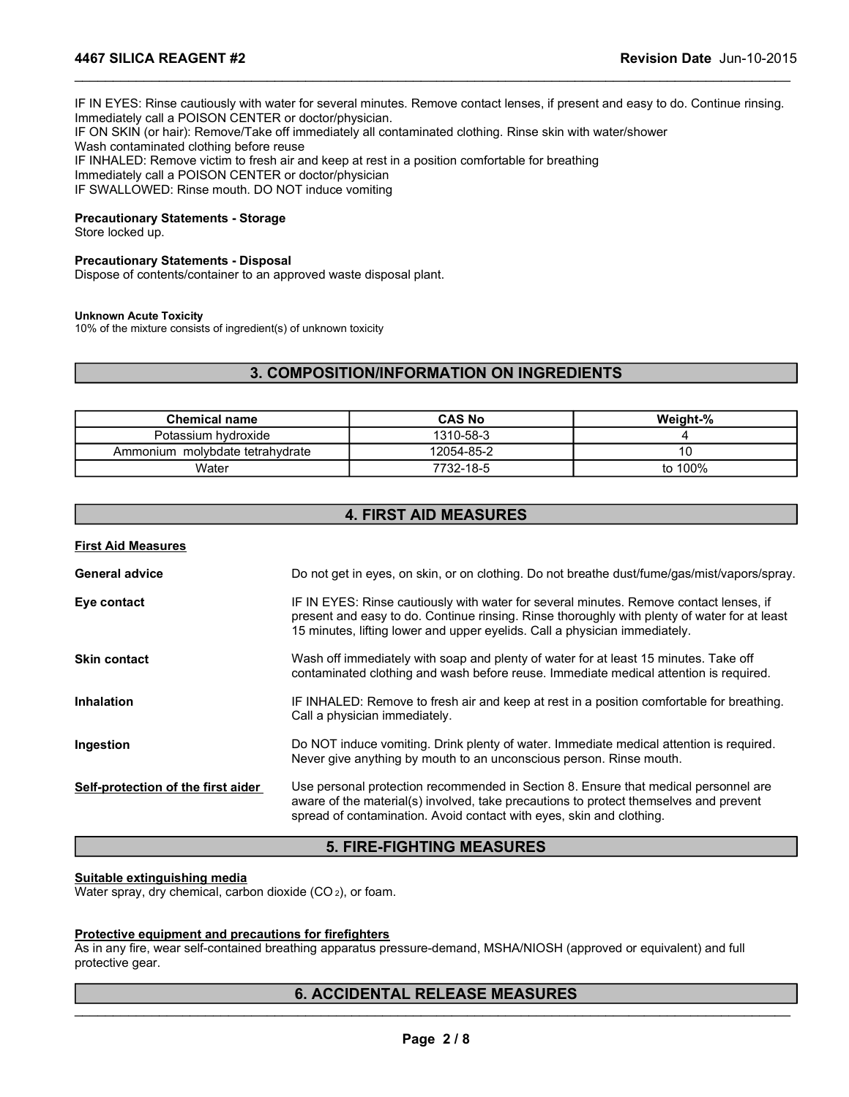IF IN EYES: Rinse cautiously with water for several minutes. Remove contact lenses, if present and easy to do. Continue rinsing. Immediately call a POISON CENTER or doctor/physician. IF ON SKIN (or hair): Remove/Take off immediately all contaminated clothing. Rinse skin with water/shower Wash contaminated clothing before reuse IF INHALED: Remove victim to fresh air and keep at rest in a position comfortable for breathing Immediately call a POISON CENTER or doctor/physician IF SWALLOWED: Rinse mouth. DO NOT induce vomiting EAGENT #2<br>
Revision Date Jun-10-2015<br>
Se caudiously with water for several minutes. Remove contact lenses, if present and easy to do. Continue rinsing,<br>
a POISON CENTER or doctor/physician.<br>
In a position confided adding s inse cautiously with water for several minutes. Remove contact lenses, if present and easy to do. Continue rinsing.<br>
all a POISON CENTER or doctor/physician.<br>
That has the mediately all containinated dothing. Rinse skin wi YES: Rinse cautiously with water for several minutes. Remove contact lenses, if present and sexy to do. Continue rinsing.<br>
Also year a POISON CENTER or doctor/physician.<br>
MAED: Remove within the first and keep at rest in a Moon CENTER or doctor/physician.<br>
MSON CENTER or doctor/physician.<br>
Nemetal respect and the parameters are the mediately all contaminated dothing. Rinse skin with water/shower<br>
vielm to Fresh air and keep at rest in a posi **4467 SILICA REAGENT #2**<br>IF IN EYES: Rinse cautiously with water for several minutes. Remove contact lenses, if present and easy to do. Continue rinsing.<br>Immediately call a POISON CENTER or doctor/physician.<br>IF ON SKIN (or

\_\_\_\_\_\_\_\_\_\_\_\_\_\_\_\_\_\_\_\_\_\_\_\_\_\_\_\_\_\_\_\_\_\_\_\_\_\_\_\_\_\_\_\_\_\_\_\_\_\_\_\_\_\_\_\_\_\_\_\_\_\_\_\_\_\_\_\_\_\_\_\_\_\_\_\_\_\_\_\_\_\_\_\_\_\_\_\_\_\_\_\_\_

#### Precautionary Statements - Storage

Store locked up.

#### Precautionary Statements - Disposal

Dispose of contents/container to an approved waste disposal plant.

#### Unknown Acute Toxicity

10% of the mixture consists of ingredient(s) of unknown toxicity

#### 3. COMPOSITION/INFORMATION ON INGREDIENTS

| <b>Chemical name</b>            | <b>CAS No</b> | Weight-% |
|---------------------------------|---------------|----------|
| Potassium hydroxide             | 1310-58-3     |          |
| Ammonium molybdate tetrahydrate | 12054-85-2    |          |
| Water                           | 7732-18-5     | to 100%  |

#### 4. FIRST AID MEASURES

#### First Aid Measures

| <b>General advice</b>                                                                                         | Do not get in eyes, on skin, or on clothing. Do not breathe dust/fume/gas/mist/vapors/spray.                                                                                                                                                                         |
|---------------------------------------------------------------------------------------------------------------|----------------------------------------------------------------------------------------------------------------------------------------------------------------------------------------------------------------------------------------------------------------------|
| Eye contact                                                                                                   | IF IN EYES: Rinse cautiously with water for several minutes. Remove contact lenses, if<br>present and easy to do. Continue rinsing. Rinse thoroughly with plenty of water for at least<br>15 minutes, lifting lower and upper eyelids. Call a physician immediately. |
| Skin contact                                                                                                  | Wash off immediately with soap and plenty of water for at least 15 minutes. Take off<br>contaminated clothing and wash before reuse. Immediate medical attention is required.                                                                                        |
| <b>Inhalation</b>                                                                                             | IF INHALED: Remove to fresh air and keep at rest in a position comfortable for breathing.<br>Call a physician immediately.                                                                                                                                           |
| Ingestion                                                                                                     | Do NOT induce vomiting. Drink plenty of water. Immediate medical attention is required.<br>Never give anything by mouth to an unconscious person. Rinse mouth.                                                                                                       |
| Self-protection of the first aider                                                                            | Use personal protection recommended in Section 8. Ensure that medical personnel are<br>aware of the material(s) involved, take precautions to protect themselves and prevent<br>spread of contamination. Avoid contact with eyes, skin and clothing.                 |
|                                                                                                               | <b>5. FIRE-FIGHTING MEASURES</b>                                                                                                                                                                                                                                     |
| <b>Suitable extinguishing media</b><br>Water spray, dry chemical, carbon dioxide (CO <sub>2</sub> ), or foam. |                                                                                                                                                                                                                                                                      |
| Protective equipment and precautions for firefighters<br>protective gear.                                     | As in any fire, wear self-contained breathing apparatus pressure-demand, MSHA/NIOSH (approved or equivalent) and full                                                                                                                                                |
|                                                                                                               | <b>6. ACCIDENTAL RELEASE MEASURES</b>                                                                                                                                                                                                                                |
|                                                                                                               | Page 2/8                                                                                                                                                                                                                                                             |
|                                                                                                               |                                                                                                                                                                                                                                                                      |
|                                                                                                               |                                                                                                                                                                                                                                                                      |

#### 5. FIRE-FIGHTING MEASURES

#### Suitable extinguishing media

#### Protective equipment and precautions for firefighters

#### 6. ACCIDENTAL RELEASE MEASURES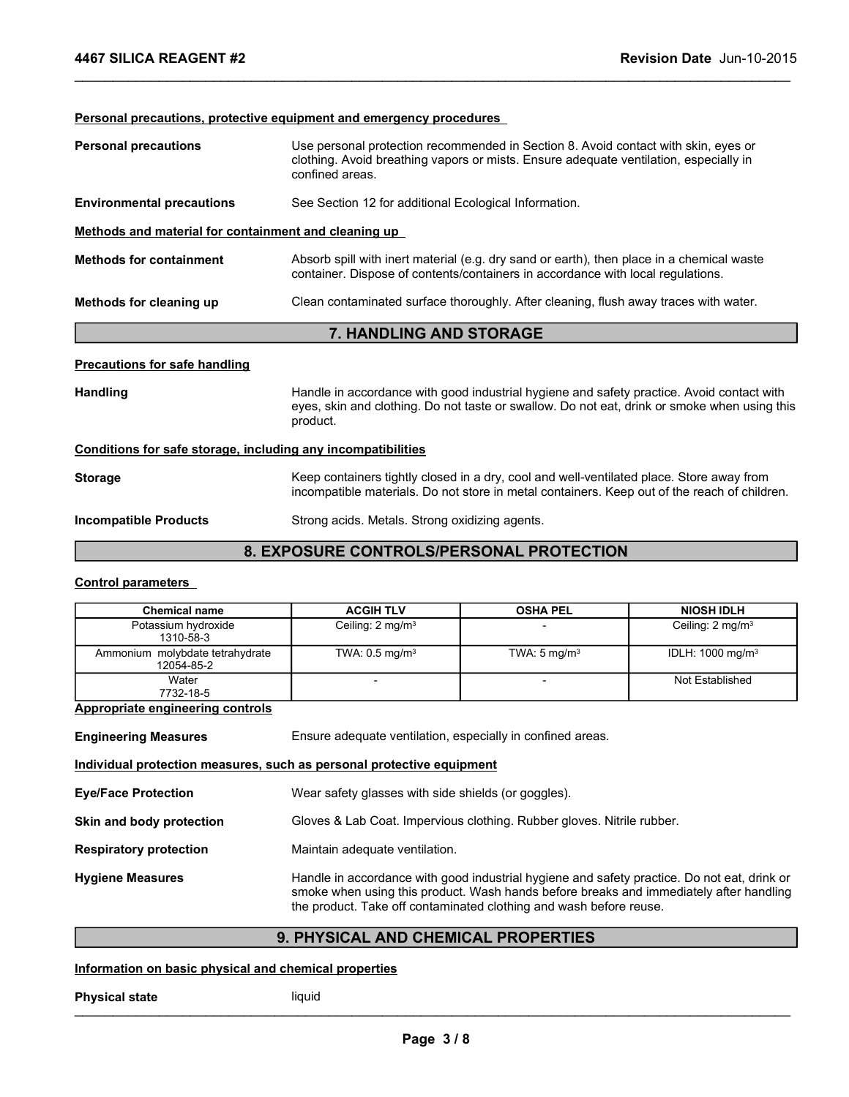# Personal precautions, protective equipment and emergency procedures Personal precautions Use personal protection recommended in Section 8. Avoid contact with skin, eyes or clothing. Avoid breathing vapors or mists. Ensure adequate ventilation, especially in confined areas. Environmental precautions See Section 12 for additional Ecological Information. Methods and material for containment and cleaning up Methods for containment Absorb spill with inert material (e.g. dry sand or earth), then place in a chemical waste container. Dispose of contents/containers in accordance with local regulations. Methods for cleaning up **Clean contaminated surface thoroughly.** After cleaning, flush away traces with water. 7. HANDLING AND STORAGE Precautions for safe handling Handling **Handling** Handle in accordance with good industrial hygiene and safety practice. Avoid contact with eyes, skin and clothing. Do not taste or swallow. Do not eat, drink or smoke when using this product. Conditions for safe storage, including any incompatibilities Storage **Keep containers tightly closed in a dry, cool and well-ventilated place. Store away from** incompatible materials. Do not store in metal containers. Keep out of the reach of children. **Chemical and Chemical Schemical ACGIH TLV**<br>
Chemical Condition Chemical Conditions in a conditions with local regulations.<br> **Clean containinated surface thoroughly.** After cleaning, flush away traces with water.<br> **Chemica** Frame of the transmission and the material container. Dispose of contents/containers in accordance with local regulations, moles with water.<br>
T. HANDLING AND STORAGE<br>
T. HANDLING AND STORAGE<br>
T. HANDLING AND STORAGE<br>
T. HA **IDLING AND STORAGE**<br>
Indence with good industrial hygiene and safety practice. Avoid contact with<br>
dothing. Do not taste or swallow. Do not eat, drink or smoke when using this<br> **atibilities**<br>
stightly closed in a dry, coo

#### Incompatible Products Strong acids. Metals. Strong oxidizing agents.

#### 8. EXPOSURE CONTROLS/PERSONAL PROTECTION

#### Control parameters

| <b>Chemical name</b>                          | <b>ACGIH TLV</b>             | <b>OSHA PEL</b>         | <b>NIOSH IDLH</b>           |
|-----------------------------------------------|------------------------------|-------------------------|-----------------------------|
| Potassium hydroxide<br>1310-58-3              | Ceiling: 2 mg/m <sup>3</sup> |                         | Ceiling: $2 \text{ mg/m}^3$ |
| Ammonium molybdate tetrahydrate<br>12054-85-2 | TWA: $0.5 \text{ mg/m}^3$    | TWA: $5 \text{ mg/m}^3$ | IDLH: $1000 \text{ mg/m}^3$ |
| Water<br>7732-18-5                            |                              |                         | Not Established             |
| Lanuanuinta anainaauina aantuala.             |                              |                         |                             |

#### Appropriate engineering controls

| Water<br>7732-18-5                                    |                                                                                                                                                                                                                                                             | Not Established |
|-------------------------------------------------------|-------------------------------------------------------------------------------------------------------------------------------------------------------------------------------------------------------------------------------------------------------------|-----------------|
| <b>Appropriate engineering controls</b>               |                                                                                                                                                                                                                                                             |                 |
| <b>Engineering Measures</b>                           | Ensure adequate ventilation, especially in confined areas.                                                                                                                                                                                                  |                 |
|                                                       | Individual protection measures, such as personal protective equipment                                                                                                                                                                                       |                 |
| <b>Eye/Face Protection</b>                            | Wear safety glasses with side shields (or goggles).                                                                                                                                                                                                         |                 |
| Skin and body protection                              | Gloves & Lab Coat. Impervious clothing. Rubber gloves. Nitrile rubber.                                                                                                                                                                                      |                 |
| <b>Respiratory protection</b>                         | Maintain adequate ventilation.                                                                                                                                                                                                                              |                 |
| <b>Hygiene Measures</b>                               | Handle in accordance with good industrial hygiene and safety practice. Do not eat, drink or<br>smoke when using this product. Wash hands before breaks and immediately after handling<br>the product. Take off contaminated clothing and wash before reuse. |                 |
|                                                       | 9. PHYSICAL AND CHEMICAL PROPERTIES                                                                                                                                                                                                                         |                 |
| Information on basic physical and chemical properties |                                                                                                                                                                                                                                                             |                 |
| <b>Physical state</b>                                 | liquid                                                                                                                                                                                                                                                      |                 |
|                                                       | Page 3/8                                                                                                                                                                                                                                                    |                 |
|                                                       |                                                                                                                                                                                                                                                             |                 |
|                                                       |                                                                                                                                                                                                                                                             |                 |

#### 9. PHYSICAL AND CHEMICAL PROPERTIES

#### Information on basic physical and chemical properties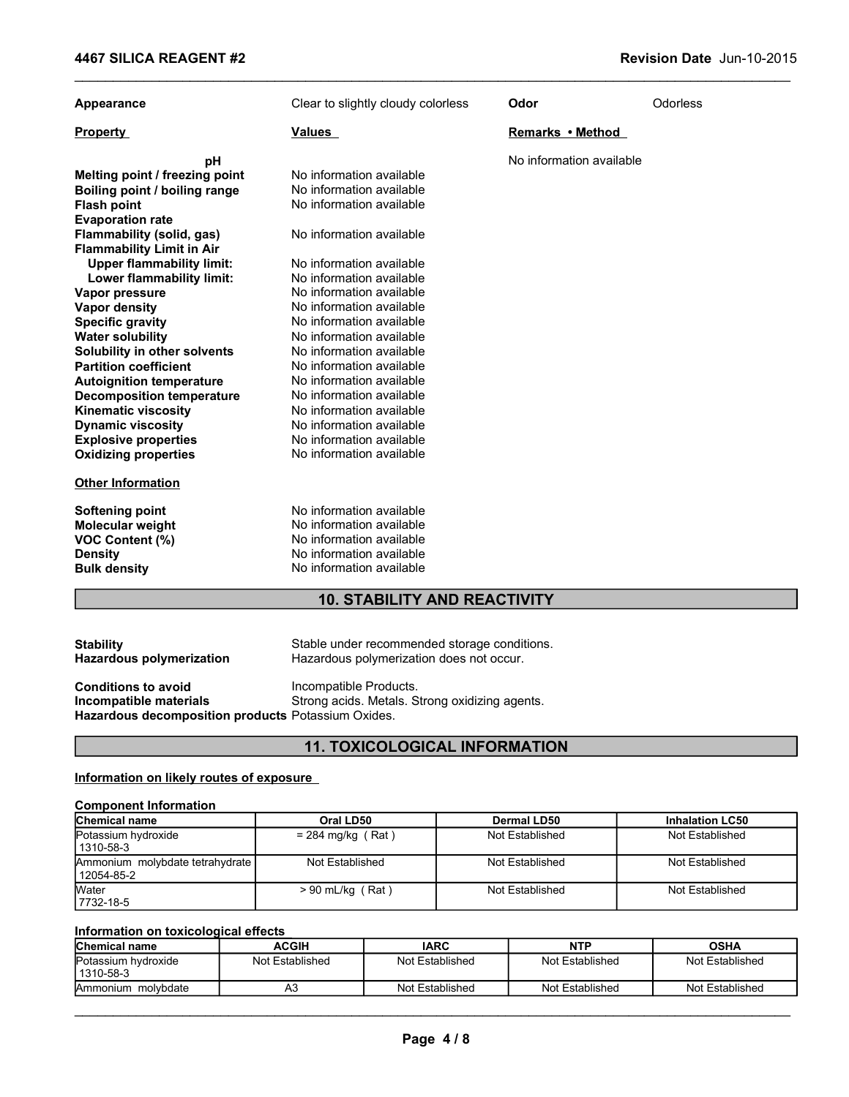| Appearance                                                                                                                                                                                                                                                                                                                                                                                                                                                                                                                    | Clear to slightly cloudy colorless                                                                                                                                                                                                                                                                                                                                                                                               | Odor                     | <b>Odorless</b>        |
|-------------------------------------------------------------------------------------------------------------------------------------------------------------------------------------------------------------------------------------------------------------------------------------------------------------------------------------------------------------------------------------------------------------------------------------------------------------------------------------------------------------------------------|----------------------------------------------------------------------------------------------------------------------------------------------------------------------------------------------------------------------------------------------------------------------------------------------------------------------------------------------------------------------------------------------------------------------------------|--------------------------|------------------------|
| <b>Property</b>                                                                                                                                                                                                                                                                                                                                                                                                                                                                                                               | <u>Values</u>                                                                                                                                                                                                                                                                                                                                                                                                                    | <b>Remarks • Method</b>  |                        |
| pH<br>Melting point / freezing point<br>Boiling point / boiling range<br><b>Flash point</b><br><b>Evaporation rate</b><br>Flammability (solid, gas)<br><b>Flammability Limit in Air</b><br><b>Upper flammability limit:</b><br>Lower flammability limit:<br>Vapor pressure<br><b>Vapor density</b><br><b>Specific gravity</b><br><b>Water solubility</b><br>Solubility in other solvents<br><b>Partition coefficient</b><br><b>Autoignition temperature</b><br><b>Decomposition temperature</b><br><b>Kinematic viscosity</b> | No information available<br>No information available<br>No information available<br>No information available<br>No information available<br>No information available<br>No information available<br>No information available<br>No information available<br>No information available<br>No information available<br>No information available<br>No information available<br>No information available<br>No information available | No information available |                        |
| <b>Dynamic viscosity</b><br><b>Explosive properties</b><br><b>Oxidizing properties</b><br><b>Other Information</b>                                                                                                                                                                                                                                                                                                                                                                                                            | No information available<br>No information available<br>No information available                                                                                                                                                                                                                                                                                                                                                 |                          |                        |
| <b>Softening point</b><br>Molecular weight<br>VOC Content (%)<br><b>Density</b><br><b>Bulk density</b>                                                                                                                                                                                                                                                                                                                                                                                                                        | No information available<br>No information available<br>No information available<br>No information available<br>No information available                                                                                                                                                                                                                                                                                         |                          |                        |
|                                                                                                                                                                                                                                                                                                                                                                                                                                                                                                                               | <b>10. STABILITY AND REACTIVITY</b>                                                                                                                                                                                                                                                                                                                                                                                              |                          |                        |
| <b>Stability</b><br><b>Hazardous polymerization</b><br><b>Conditions to avoid</b><br>Incompatible materials<br>Hazardous decomposition products Potassium Oxides.                                                                                                                                                                                                                                                                                                                                                             | Stable under recommended storage conditions.<br>Hazardous polymerization does not occur.<br>Incompatible Products.<br>Strong acids. Metals. Strong oxidizing agents.                                                                                                                                                                                                                                                             |                          |                        |
|                                                                                                                                                                                                                                                                                                                                                                                                                                                                                                                               | <b>11. TOXICOLOGICAL INFORMATION</b>                                                                                                                                                                                                                                                                                                                                                                                             |                          |                        |
| Information on likely routes of exposure                                                                                                                                                                                                                                                                                                                                                                                                                                                                                      |                                                                                                                                                                                                                                                                                                                                                                                                                                  |                          |                        |
| <b>Component Information</b>                                                                                                                                                                                                                                                                                                                                                                                                                                                                                                  |                                                                                                                                                                                                                                                                                                                                                                                                                                  |                          |                        |
| Chemical name                                                                                                                                                                                                                                                                                                                                                                                                                                                                                                                 | Oral LD50                                                                                                                                                                                                                                                                                                                                                                                                                        | Dermal LD50              | <b>Inhalation LC50</b> |
| Potassium hydroxide<br>1310-58-3                                                                                                                                                                                                                                                                                                                                                                                                                                                                                              | $= 284$ mg/kg (Rat)                                                                                                                                                                                                                                                                                                                                                                                                              | Not Established          | Not Established        |
| Ammonium molybdate tetrahydrate<br>12054-85-2                                                                                                                                                                                                                                                                                                                                                                                                                                                                                 | Not Established                                                                                                                                                                                                                                                                                                                                                                                                                  | Not Established          | Not Established        |
| Water<br>7732-18-5                                                                                                                                                                                                                                                                                                                                                                                                                                                                                                            | $> 90$ mL/kg (Rat)                                                                                                                                                                                                                                                                                                                                                                                                               | Not Established          | Not Established        |
|                                                                                                                                                                                                                                                                                                                                                                                                                                                                                                                               |                                                                                                                                                                                                                                                                                                                                                                                                                                  |                          |                        |

## 10. STABILITY AND REACTIVITY

| <b>Stability</b><br><b>Hazardous polymerization</b> | Stable under recommended storage conditions.<br>Hazardous polymerization does not occur. |
|-----------------------------------------------------|------------------------------------------------------------------------------------------|
| <b>Conditions to avoid</b>                          | Incompatible Products.                                                                   |
| Incompatible materials                              | Strong acids. Metals. Strong oxidizing agents.                                           |
| Hazardous decomposition products Potassium Oxides.  |                                                                                          |

### 11. TOXICOLOGICAL INFORMATION

#### Information on likely routes of exposure

#### Component Information

| No information available<br><b>Density</b><br><b>Bulk density</b><br>No information available<br><b>10. STABILITY AND REACTIVITY</b><br>Stable under recommended storage conditions.<br><b>Hazardous polymerization</b><br>Hazardous polymerization does not occur.<br>Incompatible Products.<br>Strong acids. Metals. Strong oxidizing agents. |
|-------------------------------------------------------------------------------------------------------------------------------------------------------------------------------------------------------------------------------------------------------------------------------------------------------------------------------------------------|
| <b>Stability</b><br><b>Conditions to avoid</b><br>Incompatible materials                                                                                                                                                                                                                                                                        |
|                                                                                                                                                                                                                                                                                                                                                 |
|                                                                                                                                                                                                                                                                                                                                                 |
| Hazardous decomposition products Potassium Oxides.                                                                                                                                                                                                                                                                                              |
| <b>11. TOXICOLOGICAL INFORMATION</b>                                                                                                                                                                                                                                                                                                            |
| Information on likely routes of exposure                                                                                                                                                                                                                                                                                                        |
| <b>Component Information</b>                                                                                                                                                                                                                                                                                                                    |
| Chemical name<br>Oral LD50<br><b>Dermal LD50</b><br><b>Inhalation LC50</b><br>Potassium hydroxide<br>$= 284$ mg/kg (Rat)<br>Not Established<br>Not Established<br>1310-58-3                                                                                                                                                                     |
| Ammonium molybdate tetrahydrate<br>Not Established<br>Not Established<br>Not Established<br>12054-85-2                                                                                                                                                                                                                                          |
| Water<br>$> 90$ mL/kg (Rat)<br>Not Established<br>Not Established<br>7732-18-5                                                                                                                                                                                                                                                                  |
| Information on toxicological effects                                                                                                                                                                                                                                                                                                            |
| Chemical name<br><b>ACGIH</b><br><b>IARC</b><br><b>NTP</b><br><b>OSHA</b>                                                                                                                                                                                                                                                                       |
| Potassium hydroxide<br>Not Established<br>Not Established<br>Not Established<br>Not Established<br>1310-58-3                                                                                                                                                                                                                                    |
| Ammonium molybdate<br>A <sub>3</sub><br>Not Established<br>Not Established<br>Not Established                                                                                                                                                                                                                                                   |

#### Information on toxicological effects

| <b>Chemical name</b>             | ACGIH           | <b>IARC</b>     | <b>NTP</b>      | <b>OSHA</b>     |
|----------------------------------|-----------------|-----------------|-----------------|-----------------|
| Potassium hydroxide<br>1310-58-3 | Not Established | Not Established | Not Established | Not Established |
| molvbdate<br>Ammonium            | A3              | Not Established | Not Established | Not Established |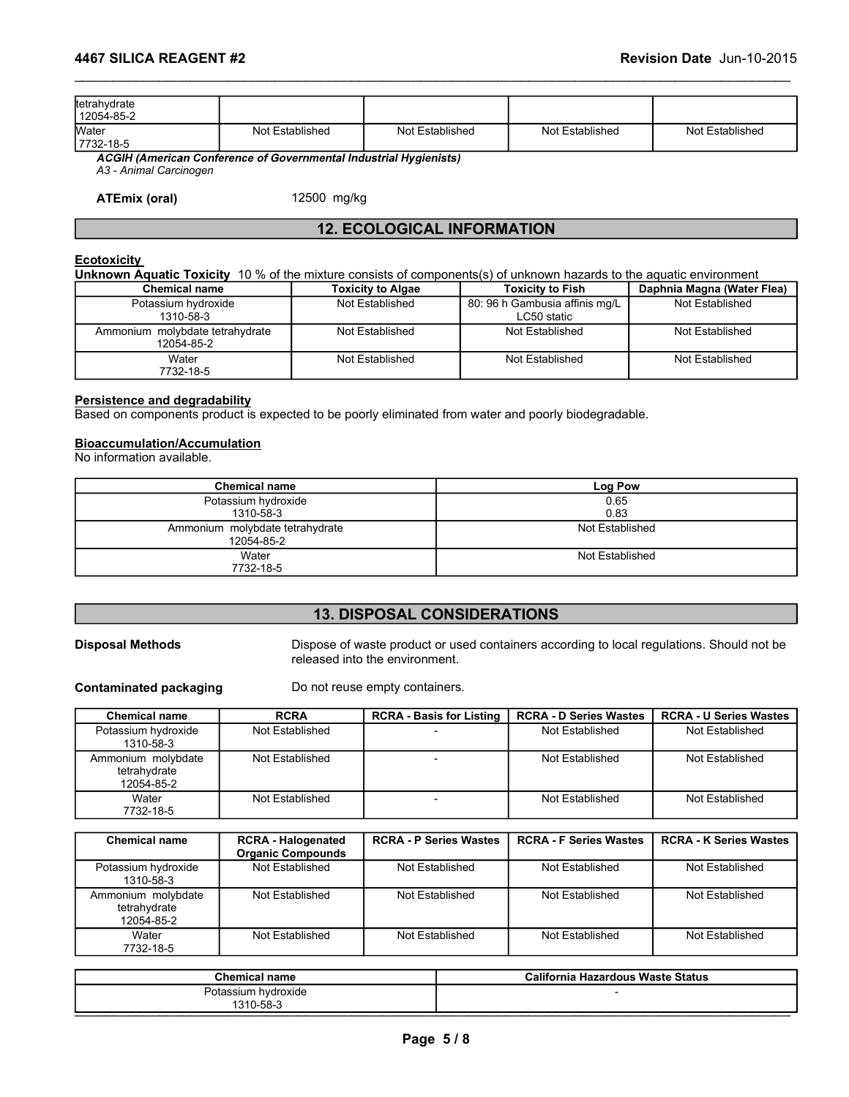| 4467 SILICA REAGENT #2     |                                                                   |                 |                 | Revision Date Jun-10-2015 |  |
|----------------------------|-------------------------------------------------------------------|-----------------|-----------------|---------------------------|--|
|                            |                                                                   |                 |                 |                           |  |
| tetrahydrate<br>12054-85-2 |                                                                   |                 |                 |                           |  |
| Water<br>7732-18-5         | Not Established                                                   | Not Established | Not Established | Not Established           |  |
| A3 - Animal Carcinogen     | ACGIH (American Conference of Governmental Industrial Hygienists) |                 |                 |                           |  |
| <b>ATEmix (oral)</b>       | 12500 mg/kg                                                       |                 |                 |                           |  |

### 12. ECOLOGICAL INFORMATION

#### **Ecotoxicity**

| 4467 SILICA REAGENT #2                                                                                                                                                                                    |                                               |                          |                                   |              |                                               | Revision Date Jun-10-2015  |
|-----------------------------------------------------------------------------------------------------------------------------------------------------------------------------------------------------------|-----------------------------------------------|--------------------------|-----------------------------------|--------------|-----------------------------------------------|----------------------------|
| tetrahydrate<br>12054-85-2                                                                                                                                                                                |                                               |                          |                                   |              |                                               |                            |
| Water<br>7732-18-5                                                                                                                                                                                        | Not Established                               |                          | Not Established                   |              | Not Established                               | Not Established            |
| ACGIH (American Conference of Governmental Industrial Hygienists)<br>A3 - Animal Carcinogen                                                                                                               |                                               |                          |                                   |              |                                               |                            |
| <b>ATEmix (oral)</b>                                                                                                                                                                                      |                                               | 12500 mg/kg              |                                   |              |                                               |                            |
|                                                                                                                                                                                                           |                                               |                          | <b>12. ECOLOGICAL INFORMATION</b> |              |                                               |                            |
| <b>Ecotoxicity</b><br>Unknown Aquatic Toxicity 10 % of the mixture consists of components(s) of unknown hazards to the aquatic environment                                                                |                                               |                          |                                   |              |                                               |                            |
| <b>Chemical name</b>                                                                                                                                                                                      |                                               | <b>Toxicity to Algae</b> |                                   |              | <b>Toxicity to Fish</b>                       | Daphnia Magna (Water Flea) |
| Potassium hydroxide<br>1310-58-3                                                                                                                                                                          |                                               | Not Established          |                                   |              | 80: 96 h Gambusia affinis mg/L<br>LC50 static | Not Established            |
| Ammonium molybdate tetrahydrate<br>12054-85-2                                                                                                                                                             |                                               | Not Established          |                                   |              | Not Established                               | Not Established            |
| Water<br>7732-18-5                                                                                                                                                                                        |                                               | Not Established          |                                   |              | Not Established                               | Not Established            |
| Persistence and degradability<br>Based on components product is expected to be poorly eliminated from water and poorly biodegradable.<br><b>Bioaccumulation/Accumulation</b><br>No information available. |                                               |                          |                                   |              |                                               |                            |
|                                                                                                                                                                                                           | <b>Chemical name</b>                          |                          |                                   |              | Log Pow                                       |                            |
|                                                                                                                                                                                                           | Potassium hydroxide<br>1310-58-3              |                          |                                   | 0.65<br>0.83 |                                               |                            |
|                                                                                                                                                                                                           | Ammonium molybdate tetrahydrate<br>12054-85-2 |                          |                                   |              | Not Established                               |                            |
|                                                                                                                                                                                                           | Water<br>7732-18-5                            |                          |                                   |              | Not Established                               |                            |

#### Persistence and degradability

#### Bioaccumulation/Accumulation

| <b>Chemical name</b>                          | Log Pow         |
|-----------------------------------------------|-----------------|
| Potassium hydroxide<br>1310-58-3              | 0.65<br>0.83    |
| Ammonium molybdate tetrahydrate<br>12054-85-2 | Not Established |
| Water<br>7732-18-5                            | Not Established |

#### 13. DISPOSAL CONSIDERATIONS

| <b>Persistence and degradability</b><br>Based on components product is expected to be poorly eliminated from water and poorly biodegradable.<br><b>Bioaccumulation/Accumulation</b><br><b>Chemical name</b><br>Log Pow<br>0.65<br>Potassium hydroxide<br>1310-58-3<br>0.83<br>Ammonium molybdate tetrahydrate<br>Not Established<br>12054-85-2<br>Water<br>Not Established<br>7732-18-5<br><b>13. DISPOSAL CONSIDERATIONS</b><br><b>Disposal Methods</b><br>Dispose of waste product or used containers according to local regulations. Should not be<br>released into the environment.<br><b>Contaminated packaging</b><br>Do not reuse empty containers.<br><b>Chemical name</b><br><b>RCRA</b><br><b>RCRA - Basis for Listing</b><br><b>RCRA - D Series Wastes</b><br>Not Established<br>Not Established<br>Potassium hydroxide<br>Not Established<br>1310-58-3<br>Ammonium molybdate<br>Not Established<br>Not Established<br>Not Established<br>tetrahydrate<br>12054-85-2<br>Not Established<br>Not Established<br>Not Established<br>Water<br>$\overline{\phantom{a}}$<br>7732-18-5<br><b>RCRA - Halogenated</b><br><b>RCRA - F Series Wastes</b><br><b>Chemical name</b><br><b>RCRA - P Series Wastes</b><br><b>Organic Compounds</b><br>Potassium hydroxide<br>Not Established<br>Not Established<br>Not Established<br>Not Established<br>1310-58-3<br>Ammonium molybdate<br>Not Established<br>Not Established<br>Not Established<br>Not Established<br>tetrahydrate<br>12054-85-2 | Water<br>7732-18-5        | Not Established | Not Established | Not Established               |  |  |  |
|-----------------------------------------------------------------------------------------------------------------------------------------------------------------------------------------------------------------------------------------------------------------------------------------------------------------------------------------------------------------------------------------------------------------------------------------------------------------------------------------------------------------------------------------------------------------------------------------------------------------------------------------------------------------------------------------------------------------------------------------------------------------------------------------------------------------------------------------------------------------------------------------------------------------------------------------------------------------------------------------------------------------------------------------------------------------------------------------------------------------------------------------------------------------------------------------------------------------------------------------------------------------------------------------------------------------------------------------------------------------------------------------------------------------------------------------------------------------------------------------------|---------------------------|-----------------|-----------------|-------------------------------|--|--|--|
|                                                                                                                                                                                                                                                                                                                                                                                                                                                                                                                                                                                                                                                                                                                                                                                                                                                                                                                                                                                                                                                                                                                                                                                                                                                                                                                                                                                                                                                                                               |                           |                 |                 |                               |  |  |  |
|                                                                                                                                                                                                                                                                                                                                                                                                                                                                                                                                                                                                                                                                                                                                                                                                                                                                                                                                                                                                                                                                                                                                                                                                                                                                                                                                                                                                                                                                                               | No information available. |                 |                 |                               |  |  |  |
|                                                                                                                                                                                                                                                                                                                                                                                                                                                                                                                                                                                                                                                                                                                                                                                                                                                                                                                                                                                                                                                                                                                                                                                                                                                                                                                                                                                                                                                                                               |                           |                 |                 |                               |  |  |  |
|                                                                                                                                                                                                                                                                                                                                                                                                                                                                                                                                                                                                                                                                                                                                                                                                                                                                                                                                                                                                                                                                                                                                                                                                                                                                                                                                                                                                                                                                                               |                           |                 |                 |                               |  |  |  |
|                                                                                                                                                                                                                                                                                                                                                                                                                                                                                                                                                                                                                                                                                                                                                                                                                                                                                                                                                                                                                                                                                                                                                                                                                                                                                                                                                                                                                                                                                               |                           |                 |                 |                               |  |  |  |
|                                                                                                                                                                                                                                                                                                                                                                                                                                                                                                                                                                                                                                                                                                                                                                                                                                                                                                                                                                                                                                                                                                                                                                                                                                                                                                                                                                                                                                                                                               |                           |                 |                 |                               |  |  |  |
|                                                                                                                                                                                                                                                                                                                                                                                                                                                                                                                                                                                                                                                                                                                                                                                                                                                                                                                                                                                                                                                                                                                                                                                                                                                                                                                                                                                                                                                                                               |                           |                 |                 |                               |  |  |  |
|                                                                                                                                                                                                                                                                                                                                                                                                                                                                                                                                                                                                                                                                                                                                                                                                                                                                                                                                                                                                                                                                                                                                                                                                                                                                                                                                                                                                                                                                                               |                           |                 |                 |                               |  |  |  |
|                                                                                                                                                                                                                                                                                                                                                                                                                                                                                                                                                                                                                                                                                                                                                                                                                                                                                                                                                                                                                                                                                                                                                                                                                                                                                                                                                                                                                                                                                               |                           |                 |                 |                               |  |  |  |
|                                                                                                                                                                                                                                                                                                                                                                                                                                                                                                                                                                                                                                                                                                                                                                                                                                                                                                                                                                                                                                                                                                                                                                                                                                                                                                                                                                                                                                                                                               |                           |                 |                 | <b>RCRA - U Series Wastes</b> |  |  |  |
|                                                                                                                                                                                                                                                                                                                                                                                                                                                                                                                                                                                                                                                                                                                                                                                                                                                                                                                                                                                                                                                                                                                                                                                                                                                                                                                                                                                                                                                                                               |                           |                 |                 |                               |  |  |  |
|                                                                                                                                                                                                                                                                                                                                                                                                                                                                                                                                                                                                                                                                                                                                                                                                                                                                                                                                                                                                                                                                                                                                                                                                                                                                                                                                                                                                                                                                                               |                           |                 |                 |                               |  |  |  |
|                                                                                                                                                                                                                                                                                                                                                                                                                                                                                                                                                                                                                                                                                                                                                                                                                                                                                                                                                                                                                                                                                                                                                                                                                                                                                                                                                                                                                                                                                               |                           |                 |                 |                               |  |  |  |
|                                                                                                                                                                                                                                                                                                                                                                                                                                                                                                                                                                                                                                                                                                                                                                                                                                                                                                                                                                                                                                                                                                                                                                                                                                                                                                                                                                                                                                                                                               |                           |                 |                 | <b>RCRA - K Series Wastes</b> |  |  |  |
|                                                                                                                                                                                                                                                                                                                                                                                                                                                                                                                                                                                                                                                                                                                                                                                                                                                                                                                                                                                                                                                                                                                                                                                                                                                                                                                                                                                                                                                                                               |                           |                 |                 |                               |  |  |  |
|                                                                                                                                                                                                                                                                                                                                                                                                                                                                                                                                                                                                                                                                                                                                                                                                                                                                                                                                                                                                                                                                                                                                                                                                                                                                                                                                                                                                                                                                                               |                           |                 |                 |                               |  |  |  |

|                                                  | . 0.000.0111 117 01 07.100<br>1310-58-3<br>Ammonium molybdate tetrahydrate<br>12054-85-2<br>Water<br>7732-18-5 |                                    | <br>0.83                        |                                                                                           |                               |
|--------------------------------------------------|----------------------------------------------------------------------------------------------------------------|------------------------------------|---------------------------------|-------------------------------------------------------------------------------------------|-------------------------------|
|                                                  |                                                                                                                |                                    |                                 | Not Established                                                                           |                               |
|                                                  |                                                                                                                |                                    |                                 | Not Established                                                                           |                               |
|                                                  |                                                                                                                |                                    |                                 |                                                                                           |                               |
|                                                  |                                                                                                                | <b>13. DISPOSAL CONSIDERATIONS</b> |                                 |                                                                                           |                               |
| <b>Disposal Methods</b>                          |                                                                                                                | released into the environment.     |                                 | Dispose of waste product or used containers according to local regulations. Should not be |                               |
| <b>Contaminated packaging</b>                    |                                                                                                                | Do not reuse empty containers.     |                                 |                                                                                           |                               |
| <b>Chemical name</b>                             | <b>RCRA</b>                                                                                                    |                                    | <b>RCRA - Basis for Listing</b> | <b>RCRA - D Series Wastes</b>                                                             | <b>RCRA - U Series Wastes</b> |
| Potassium hydroxide<br>1310-58-3                 | Not Established                                                                                                |                                    |                                 | Not Established                                                                           | Not Established               |
| Ammonium molybdate<br>tetrahydrate<br>12054-85-2 | Not Established                                                                                                |                                    |                                 | Not Established                                                                           | Not Established               |
| Water<br>7732-18-5                               | Not Established                                                                                                | $\sim$                             |                                 | Not Established                                                                           | Not Established               |
| <b>Chemical name</b>                             | <b>RCRA - Halogenated</b><br><b>Organic Compounds</b>                                                          | <b>RCRA - P Series Wastes</b>      |                                 | <b>RCRA - F Series Wastes</b>                                                             | <b>RCRA - K Series Wastes</b> |
| Potassium hydroxide<br>1310-58-3                 | Not Established                                                                                                |                                    | Not Established                 | Not Established                                                                           | Not Established               |
| Ammonium molybdate<br>tetrahydrate<br>12054-85-2 | Not Established                                                                                                | Not Established                    |                                 | Not Established                                                                           | Not Established               |
| Water<br>7732-18-5                               | Not Established                                                                                                |                                    | Not Established                 | Not Established                                                                           | Not Established               |
|                                                  | <b>Chemical name</b>                                                                                           |                                    |                                 | <b>California Hazardous Waste Status</b>                                                  |                               |
|                                                  | Potassium hydroxide<br>1310-58-3                                                                               |                                    |                                 |                                                                                           |                               |
|                                                  |                                                                                                                |                                    |                                 |                                                                                           |                               |
|                                                  |                                                                                                                |                                    | Page 5/8                        |                                                                                           |                               |
|                                                  |                                                                                                                |                                    |                                 |                                                                                           |                               |
|                                                  |                                                                                                                |                                    |                                 |                                                                                           |                               |
|                                                  |                                                                                                                |                                    |                                 |                                                                                           |                               |

| <b>Chemical name</b> | <b>California Hazardous Waste Status</b> |
|----------------------|------------------------------------------|
| Potassium hydroxide  |                                          |
| 1310-58-3            |                                          |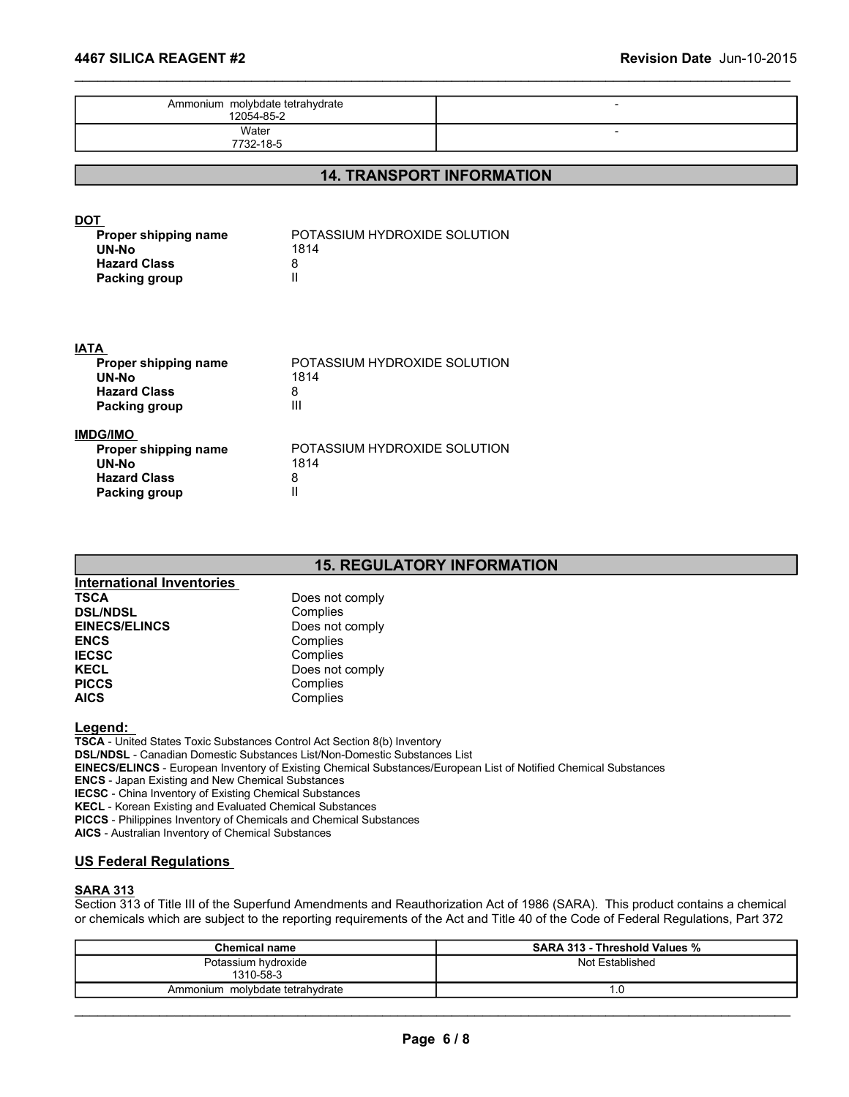| Ammonium molybdate tetrahydrate<br>12054-85-2                                                   |                                                  |                                  | $\blacksquare$ |  |
|-------------------------------------------------------------------------------------------------|--------------------------------------------------|----------------------------------|----------------|--|
| Water<br>7732-18-5                                                                              |                                                  |                                  | $\blacksquare$ |  |
|                                                                                                 |                                                  | <b>14. TRANSPORT INFORMATION</b> |                |  |
| <b>DOT</b><br>Proper shipping name<br>UN-No<br><b>Hazard Class</b><br><b>Packing group</b>      | POTASSIUM HYDROXIDE SOLUTION<br>1814<br>8<br>Ш   |                                  |                |  |
| <b>IATA</b><br>Proper shipping name<br><b>UN-No</b><br><b>Hazard Class</b><br>Packing group     | POTASSIUM HYDROXIDE SOLUTION<br>1814<br>8<br>III |                                  |                |  |
| <b>IMDG/IMO</b><br>Proper shipping name<br><b>UN-No</b><br><b>Hazard Class</b><br>Packing group | POTASSIUM HYDROXIDE SOLUTION<br>1814<br>8<br>Ш   |                                  |                |  |

### 15. REGULATORY INFORMATION

| International Inventories |                 |
|---------------------------|-----------------|
| <b>TSCA</b>               | Does not comply |
| <b>DSL/NDSL</b>           | Complies        |
| <b>EINECS/ELINCS</b>      | Does not comply |
| <b>ENCS</b>               | Complies        |
| <b>IECSC</b>              | Complies        |
| <b>KECL</b>               | Does not comply |
| <b>PICCS</b>              | Complies        |
| <b>AICS</b>               | Complies        |

#### Legend:

TSCA - United States Toxic Substances Control Act Section 8(b) Inventory DSL/NDSL - Canadian Domestic Substances List/Non-Domestic Substances List EINECS/ELINCS - European Inventory of Existing Chemical Substances/European List of Notified Chemical Substances ENCS - Japan Existing and New Chemical Substances IECSC - China Inventory of Existing Chemical Substances KECL - Korean Existing and Evaluated Chemical Substances PICCS - Philippines Inventory of Chemicals and Chemical Substances AICS - Australian Inventory of Chemical Substances Examples<br>
Does not complies<br>
Complies<br>
Chemical name School and Section 8(b) Inventory<br>
Complies<br>
Does not complies<br>
Does not complies<br>
Complies<br>
Substances Listivion-Domestic Substances Listivion<br>
is cluster complised Sub Forminies<br>
Complies<br>
Complies<br>
Complies<br>
Complies<br>
Complies<br>
Res Toxic Substances Control Act Section 8(b) Inventory<br>
Complies<br>
Res Toxic Substances Control Act Section 8(b) Inventory<br>
European Inventory of Existing Chemic \_\_\_\_\_\_\_\_\_\_\_\_\_\_\_\_\_\_\_\_\_\_\_\_\_\_\_\_\_\_\_\_\_\_\_\_\_\_\_\_\_\_\_\_\_\_\_\_\_\_\_\_\_\_\_\_\_\_\_\_\_\_\_\_\_\_\_\_\_\_\_\_\_\_\_\_\_\_\_\_\_\_\_\_\_\_\_\_\_\_\_\_\_ Page 6 / 8

#### US Federal Regulations

#### SARA 313

Section 313 of Title III of the Superfund Amendments and Reauthorization Act of 1986 (SARA). This product contains a chemical or chemicals which are subject to the reporting requirements of the Act and Title 40 of the Code of Federal Regulations, Part 372

| <b>Chemical name</b>            | <b>SARA 313 - Threshold Values %</b> |
|---------------------------------|--------------------------------------|
| Potassium hydroxide             | Not Established                      |
| 1310-58-3                       |                                      |
| Ammonium molybdate tetrahydrate | ۰.                                   |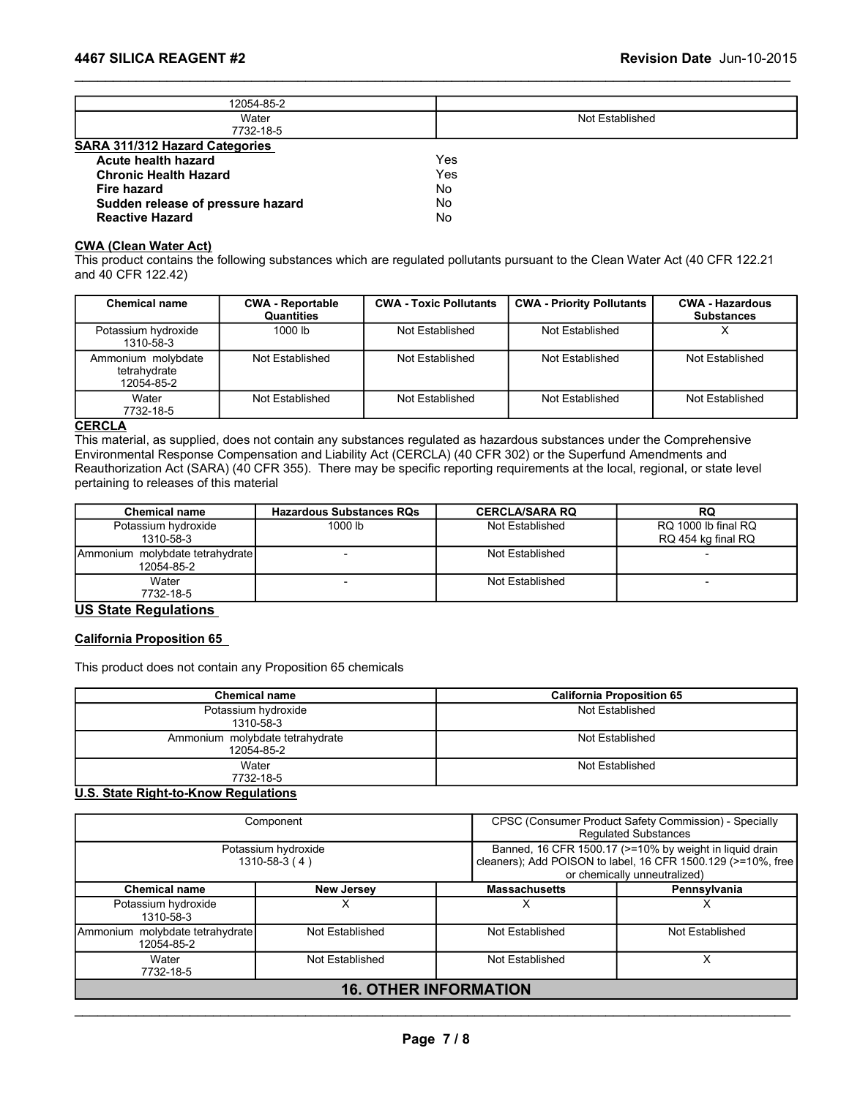|                                                                                             | 12054-85-2              |                               |                                                                                                                              |                        |
|---------------------------------------------------------------------------------------------|-------------------------|-------------------------------|------------------------------------------------------------------------------------------------------------------------------|------------------------|
|                                                                                             | Water<br>7732-18-5      |                               | Not Established                                                                                                              |                        |
| Sudden release of pressure hazard<br><b>Reactive Hazard</b><br><b>CWA (Clean Water Act)</b> |                         | <b>No</b><br>No               | This product contains the following substances which are regulated pollutants pursuant to the Clean Water Act (40 CFR 122.21 |                        |
| and 40 CFR 122.42)                                                                          |                         |                               |                                                                                                                              |                        |
| <b>Chemical name</b>                                                                        | <b>CWA - Reportable</b> | <b>CWA - Toxic Pollutants</b> | <b>CWA - Priority Pollutants</b>                                                                                             | <b>CWA - Hazardous</b> |
| Potassium hydroxide<br>1310-58-3                                                            | Quantities<br>1000 lb   | Not Established               | Not Established                                                                                                              | <b>Substances</b><br>X |
| Ammonium molybdate<br>tetrahydrate<br>12054-85-2                                            | Not Established         | Not Established               | Not Established                                                                                                              | Not Established        |

#### CWA (Clean Water Act)

| Acute health hazard                                                                                                          |                                       |                               | Yes |                                  |                                             |
|------------------------------------------------------------------------------------------------------------------------------|---------------------------------------|-------------------------------|-----|----------------------------------|---------------------------------------------|
| <b>Chronic Health Hazard</b>                                                                                                 |                                       |                               | Yes |                                  |                                             |
| <b>Fire hazard</b>                                                                                                           |                                       |                               | No  |                                  |                                             |
| Sudden release of pressure hazard                                                                                            |                                       |                               | No  |                                  |                                             |
| <b>Reactive Hazard</b>                                                                                                       |                                       |                               | No. |                                  |                                             |
| <b>CWA (Clean Water Act)</b>                                                                                                 |                                       |                               |     |                                  |                                             |
| This product contains the following substances which are regulated pollutants pursuant to the Clean Water Act (40 CFR 122.21 |                                       |                               |     |                                  |                                             |
| and 40 CFR 122.42)                                                                                                           |                                       |                               |     |                                  |                                             |
|                                                                                                                              |                                       |                               |     |                                  |                                             |
| <b>Chemical name</b>                                                                                                         | <b>CWA - Reportable</b><br>Quantities | <b>CWA - Toxic Pollutants</b> |     | <b>CWA - Priority Pollutants</b> | <b>CWA - Hazardous</b><br><b>Substances</b> |
| Potassium hydroxide<br>1310-58-3                                                                                             | 1000 lb                               | Not Established               |     | Not Established                  | X                                           |
| Ammonium molybdate<br>tetrahydrate<br>12054-85-2                                                                             | Not Established                       | Not Established               |     | Not Established                  | Not Established                             |
| Water                                                                                                                        | Not Established                       | Not Established               |     | Not Established                  | Not Established                             |
| 7732-18-5                                                                                                                    |                                       |                               |     |                                  |                                             |
| <b>CERCLA</b>                                                                                                                |                                       |                               |     |                                  |                                             |
| This material, as supplied, does not contain any substances regulated as hazardous substances under the Comprehensive        |                                       |                               |     |                                  |                                             |
| Environmental Response Compensation and Liability Act (CERCLA) (40 CFR 302) or the Superfund Amendments and                  |                                       |                               |     |                                  |                                             |
| Reauthorization Act (SARA) (40 CFR 355). There may be specific reporting requirements at the local, regional, or state level |                                       |                               |     |                                  |                                             |
| pertaining to releases of this material                                                                                      |                                       |                               |     |                                  |                                             |
| <b>Chemical name</b>                                                                                                         | <b>Hazardous Substances RQs</b>       |                               |     | <b>CERCLA/SARA RQ</b>            | <b>RQ</b>                                   |
| Potassium hydroxide                                                                                                          | 1000 lb                               |                               |     | Not Established                  | RQ 1000 lb final RQ                         |
| 1310-58-3                                                                                                                    |                                       |                               |     |                                  | RQ 454 kg final RQ                          |
| Ammonium molybdate tetrahydrate                                                                                              |                                       |                               |     | Not Established                  |                                             |
| 12054-85-2                                                                                                                   |                                       |                               |     |                                  |                                             |
| Water                                                                                                                        |                                       |                               |     | Not Established                  |                                             |
| 7732-18-5                                                                                                                    |                                       |                               |     |                                  |                                             |
| <b>US State Regulations</b>                                                                                                  |                                       |                               |     |                                  |                                             |
|                                                                                                                              |                                       |                               |     |                                  |                                             |
| <b>California Proposition 65</b>                                                                                             |                                       |                               |     |                                  |                                             |
|                                                                                                                              |                                       |                               |     |                                  |                                             |
| This product does not contain any Proposition 65 chemicals                                                                   |                                       |                               |     |                                  |                                             |

#### **CERCLA**

| i vlassium nyurvaluv<br>1310-58-3                                                                                                                                                                                                                                                                                                                                                                                                |                                  | שו טשטו                         |                 |                                  |                                           | $\lambda$       |
|----------------------------------------------------------------------------------------------------------------------------------------------------------------------------------------------------------------------------------------------------------------------------------------------------------------------------------------------------------------------------------------------------------------------------------|----------------------------------|---------------------------------|-----------------|----------------------------------|-------------------------------------------|-----------------|
| Ammonium molybdate<br>tetrahydrate<br>12054-85-2                                                                                                                                                                                                                                                                                                                                                                                 |                                  | Not Established                 | Not Established | Not Established                  |                                           | Not Established |
| Water<br>7732-18-5                                                                                                                                                                                                                                                                                                                                                                                                               |                                  | Not Established                 | Not Established | Not Established                  |                                           | Not Established |
| <b>CERCLA</b><br>This material, as supplied, does not contain any substances regulated as hazardous substances under the Comprehensive<br>Environmental Response Compensation and Liability Act (CERCLA) (40 CFR 302) or the Superfund Amendments and<br>Reauthorization Act (SARA) (40 CFR 355). There may be specific reporting requirements at the local, regional, or state level<br>pertaining to releases of this material |                                  |                                 |                 |                                  |                                           |                 |
| <b>Chemical name</b>                                                                                                                                                                                                                                                                                                                                                                                                             |                                  | <b>Hazardous Substances RQs</b> |                 | <b>CERCLA/SARA RQ</b>            | <b>RQ</b>                                 |                 |
| Potassium hydroxide<br>1310-58-3                                                                                                                                                                                                                                                                                                                                                                                                 |                                  | 1000 lb                         |                 | Not Established                  | RQ 1000 lb final RQ<br>RQ 454 kg final RQ |                 |
| Ammonium molybdate tetrahydrate<br>12054-85-2                                                                                                                                                                                                                                                                                                                                                                                    |                                  |                                 |                 | Not Established                  |                                           |                 |
| Water<br>7732-18-5                                                                                                                                                                                                                                                                                                                                                                                                               |                                  |                                 |                 | Not Established                  |                                           |                 |
| <b>US State Regulations</b>                                                                                                                                                                                                                                                                                                                                                                                                      |                                  |                                 |                 |                                  |                                           |                 |
| <b>California Proposition 65</b><br>This product does not contain any Proposition 65 chemicals                                                                                                                                                                                                                                                                                                                                   |                                  |                                 |                 |                                  |                                           |                 |
|                                                                                                                                                                                                                                                                                                                                                                                                                                  | <b>Chemical name</b>             |                                 |                 | <b>California Proposition 65</b> |                                           |                 |
|                                                                                                                                                                                                                                                                                                                                                                                                                                  | Potassium hydroxide<br>1310-58-3 |                                 |                 | Not Established                  |                                           |                 |
|                                                                                                                                                                                                                                                                                                                                                                                                                                  | 12054-85-2                       | Ammonium molybdate tetrahydrate |                 | Not Established                  |                                           |                 |
|                                                                                                                                                                                                                                                                                                                                                                                                                                  | Water<br>7732-18-5               |                                 |                 | Not Established                  |                                           |                 |

#### US State Regulations

#### California Proposition 65

| pertaining to releases of this material                                            | Reauthorization Act (SARA) (40 CFR 355). There may be specific reporting requirements at the local, regional, or state level |                       |                                                                                                                                                         |
|------------------------------------------------------------------------------------|------------------------------------------------------------------------------------------------------------------------------|-----------------------|---------------------------------------------------------------------------------------------------------------------------------------------------------|
| <b>Chemical name</b>                                                               | <b>Hazardous Substances RQs</b>                                                                                              | <b>CERCLA/SARA RQ</b> | <b>RQ</b>                                                                                                                                               |
| Potassium hydroxide<br>1310-58-3                                                   | 1000 lb                                                                                                                      | Not Established       | RQ 1000 lb final RQ<br>RQ 454 kg final RQ                                                                                                               |
| Ammonium molybdate tetrahydrate<br>12054-85-2                                      |                                                                                                                              | Not Established       |                                                                                                                                                         |
| Water<br>7732-18-5                                                                 | $\overline{a}$                                                                                                               | Not Established       | $\overline{\phantom{a}}$                                                                                                                                |
| This product does not contain any Proposition 65 chemicals<br><b>Chemical name</b> |                                                                                                                              |                       | <b>California Proposition 65</b>                                                                                                                        |
| Potassium hydroxide                                                                |                                                                                                                              |                       | Not Established                                                                                                                                         |
|                                                                                    | 1310-58-3                                                                                                                    |                       |                                                                                                                                                         |
| Ammonium molybdate tetrahydrate                                                    | 12054-85-2                                                                                                                   |                       | Not Established                                                                                                                                         |
| Water                                                                              | 7732-18-5                                                                                                                    |                       | Not Established                                                                                                                                         |
| U.S. State Right-to-Know Regulations                                               |                                                                                                                              |                       |                                                                                                                                                         |
|                                                                                    | Component                                                                                                                    |                       | CPSC (Consumer Product Safety Commission) - Specially<br><b>Regulated Substances</b>                                                                    |
|                                                                                    | Potassium hydroxide<br>1310-58-3 (4)                                                                                         |                       | Banned, 16 CFR 1500.17 (>=10% by weight in liquid drain<br>cleaners); Add POISON to label, 16 CFR 1500.129 (>=10%, free<br>or chemically unneutralized) |
| <b>Chemical name</b>                                                               | <b>New Jersey</b>                                                                                                            | <b>Massachusetts</b>  | Pennsylvania                                                                                                                                            |
| Potassium hydroxide                                                                | X.                                                                                                                           | X                     | X                                                                                                                                                       |

#### U.S. State Right-to-Know Regulations

| Potassium nyuroxide<br>1310-58-3                           | <b>UOO ID</b>                             | <b>NOT ESIGNISHED</b>        | <b>KU TOOD ID IIIIAI KU</b><br>RQ 454 kg final RQ                                                                       |
|------------------------------------------------------------|-------------------------------------------|------------------------------|-------------------------------------------------------------------------------------------------------------------------|
| Ammonium molybdate tetrahydrate<br>12054-85-2              | $\blacksquare$                            | Not Established              |                                                                                                                         |
| Water<br>7732-18-5                                         | $\overline{a}$                            | Not Established              |                                                                                                                         |
| <b>US State Regulations</b>                                |                                           |                              |                                                                                                                         |
| <b>California Proposition 65</b>                           |                                           |                              |                                                                                                                         |
| This product does not contain any Proposition 65 chemicals |                                           |                              |                                                                                                                         |
| <b>Chemical name</b>                                       |                                           |                              | <b>California Proposition 65</b>                                                                                        |
| Potassium hydroxide                                        |                                           |                              | Not Established                                                                                                         |
| 1310-58-3                                                  |                                           |                              |                                                                                                                         |
| Ammonium molybdate tetrahydrate<br>12054-85-2              |                                           |                              | Not Established                                                                                                         |
| Water                                                      |                                           |                              | Not Established                                                                                                         |
| 7732-18-5                                                  |                                           |                              |                                                                                                                         |
| <b>U.S. State Right-to-Know Regulations</b>                |                                           |                              |                                                                                                                         |
|                                                            | Component                                 |                              | CPSC (Consumer Product Safety Commission) - Specially<br>Regulated Substances                                           |
|                                                            | Potassium hydroxide<br>$1310 - 58 - 3(4)$ |                              | Banned, 16 CFR 1500.17 (>=10% by weight in liquid drain<br>cleaners); Add POISON to label, 16 CFR 1500.129 (>=10%, free |
|                                                            |                                           |                              | or chemically unneutralized)                                                                                            |
| <b>Chemical name</b>                                       | <b>New Jersey</b>                         | <b>Massachusetts</b>         | Pennsylvania                                                                                                            |
| Potassium hydroxide<br>1310-58-3                           | $\times$                                  | $\times$                     | $\times$                                                                                                                |
| Ammonium molybdate tetrahydrate<br>12054-85-2              | Not Established                           | Not Established              | Not Established                                                                                                         |
| Water<br>7732-18-5                                         | Not Established                           | Not Established              | $\overline{X}$                                                                                                          |
|                                                            |                                           | <b>16. OTHER INFORMATION</b> |                                                                                                                         |
|                                                            |                                           |                              |                                                                                                                         |
|                                                            |                                           |                              |                                                                                                                         |
|                                                            |                                           | Page 7/8                     |                                                                                                                         |
|                                                            |                                           |                              |                                                                                                                         |
|                                                            |                                           |                              |                                                                                                                         |
|                                                            |                                           |                              |                                                                                                                         |